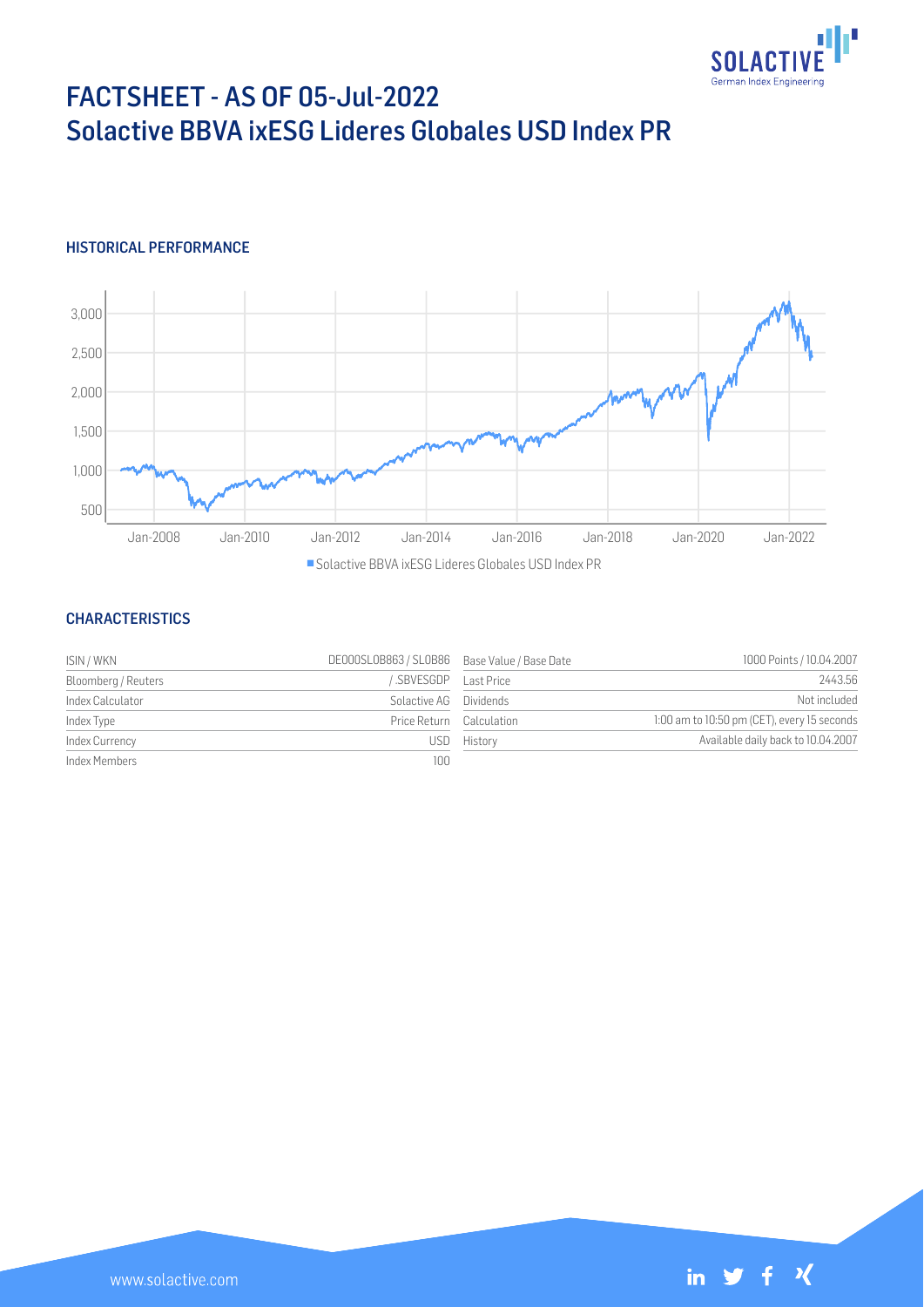

# FACTSHEET - AS OF 05-Jul-2022 Solactive BBVA ixESG Lideres Globales USD Index PR

# HISTORICAL PERFORMANCE



#### **CHARACTERISTICS**

| ISIN / WKN          | DE000SL0B863 / SL0B86 Base Value / Base Date |             | 1000 Points / 10.04.2007                    |
|---------------------|----------------------------------------------|-------------|---------------------------------------------|
| Bloomberg / Reuters | .SBVESGDP                                    | Last Price  | 2443.56                                     |
| Index Calculator    | Solactive AG Dividends                       |             | Not included                                |
| Index Type          | Price Return Calculation                     |             | 1:00 am to 10:50 pm (CET), every 15 seconds |
| Index Currency      |                                              | USD History | Available daily back to 10.04.2007          |
| Index Members       | 100                                          |             |                                             |

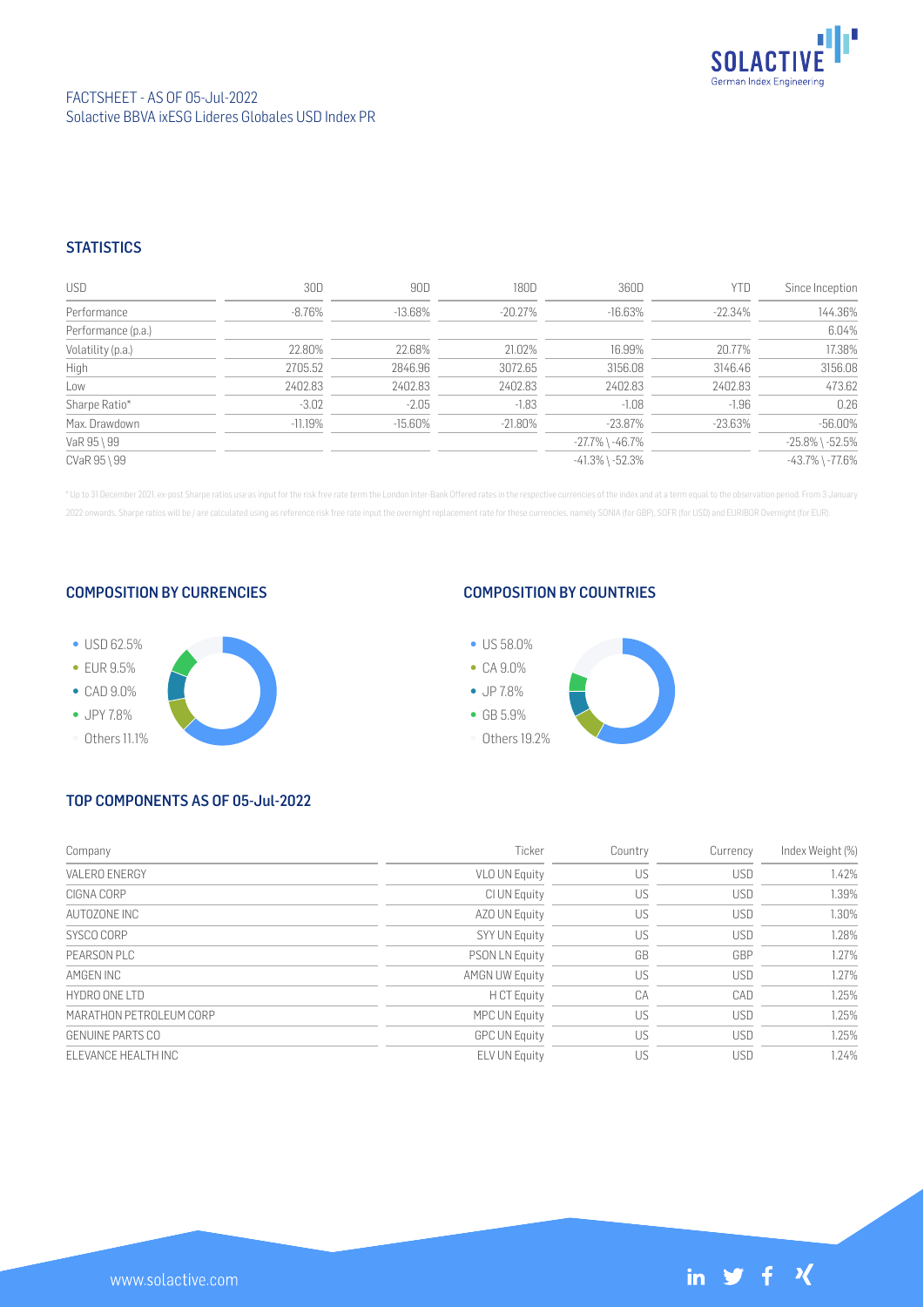

## **STATISTICS**

| <b>USD</b>         | 30D       | 90D        | 180D       | 360D                  | <b>YTD</b> | Since Inception       |
|--------------------|-----------|------------|------------|-----------------------|------------|-----------------------|
| Performance        | -8.76%    | $-13.68%$  | $-20.27\%$ | $-16.63%$             | $-22.34\%$ | 144.36%               |
| Performance (p.a.) |           |            |            |                       |            | 6.04%                 |
| Volatility (p.a.)  | 22.80%    | 22.68%     | 21.02%     | 16.99%                | 20.77%     | 17.38%                |
| High               | 2705.52   | 2846.96    | 3072.65    | 3156.08               | 3146.46    | 3156.08               |
| Low                | 2402.83   | 2402.83    | 2402.83    | 2402.83               | 2402.83    | 473.62                |
| Sharpe Ratio*      | $-3.02$   | $-2.05$    | $-1.83$    | $-1.08$               | $-1.96$    | 0.26                  |
| Max. Drawdown      | $-11.19%$ | $-15.60\%$ | $-21.80\%$ | $-23.87\%$            | $-23.63%$  | $-56.00%$             |
| VaR 95 \ 99        |           |            |            | $-27.7\%$ \ $-46.7\%$ |            | $-25.8\%$ \ $-52.5\%$ |
| CVaR 95 \ 99       |           |            |            | $-41.3\%$ \ $-52.3\%$ |            | $-43.7\%$ \ $-77.6\%$ |

\* Up to 31 December 2021, ex-post Sharpe ratios use as input for the risk free rate term the London Inter-Bank Offered rates in the respective currencies of the index and at a term equal to the observation period. From 3 J 2022 onwards, Sharpe ratios will be / are calculated using as reference risk free rate input the overnight replacement rate for these currencies, namely SONIA (for GBP), SOFR (for USD) and EURIBOR Overnight (for EUR).

#### COMPOSITION BY CURRENCIES



## COMPOSITION BY COUNTRIES



# TOP COMPONENTS AS OF 05-Jul-2022

| Company                 | Ticker                | Country | Currency   | Index Weight (%) |
|-------------------------|-----------------------|---------|------------|------------------|
| VALERO ENERGY           | <b>VLO UN Equity</b>  | US      | <b>USD</b> | 1.42%            |
| CIGNA CORP              | CI UN Equity          | US      | <b>USD</b> | 1.39%            |
| AUTOZONE INC            | AZO UN Equity         | US      | <b>USD</b> | 1.30%            |
| SYSCO CORP              | SYY UN Equity         | US      | <b>USD</b> | 1.28%            |
| PFARSON PLC             | <b>PSON LN Equity</b> | GB      | GBP        | 1.27%            |
| AMGEN INC               | <b>AMGN UW Equity</b> | US      | <b>USD</b> | 1.27%            |
| HYDRO ONE ITD           | H CT Equity           | CA      | CAD        | 1.25%            |
| MARATHON PETROLEUM CORP | MPC UN Equity         | US      | <b>USD</b> | 1.25%            |
| <b>GENUINE PARTS CO</b> | <b>GPC UN Equity</b>  | US      | <b>USD</b> | 1.25%            |
| FI FVANCE HEALTH INC    | <b>ELV UN Equity</b>  | US      | <b>USD</b> | 1.24%            |